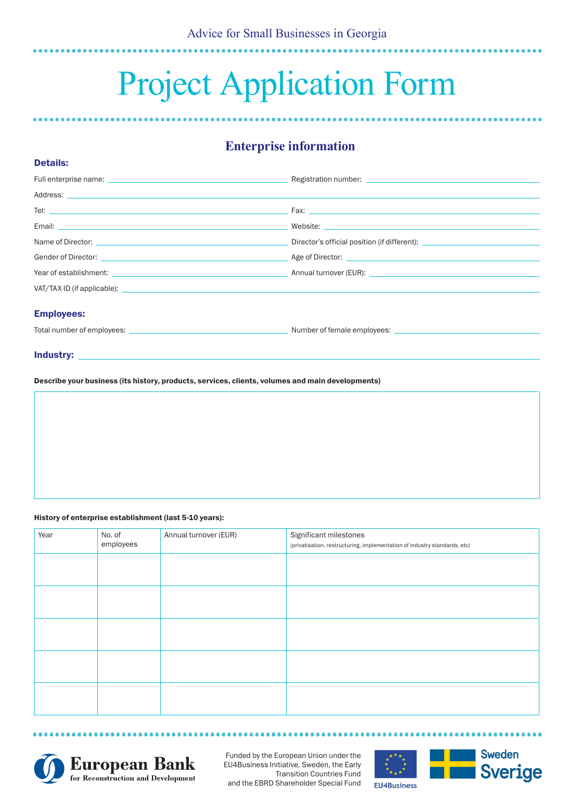# Project Application Form

## **Enterprise information**

|                                                                                                                                                                                                                                      | Registration number: Later and the contract of the contract of the contract of the contract of the contract of |  |  |
|--------------------------------------------------------------------------------------------------------------------------------------------------------------------------------------------------------------------------------------|----------------------------------------------------------------------------------------------------------------|--|--|
|                                                                                                                                                                                                                                      |                                                                                                                |  |  |
| Tel: $\overline{\phantom{a}}$                                                                                                                                                                                                        |                                                                                                                |  |  |
|                                                                                                                                                                                                                                      |                                                                                                                |  |  |
|                                                                                                                                                                                                                                      | Director's official position (if different): ___________________________________                               |  |  |
| Gender of Director: Age of Director: Age of Director:                                                                                                                                                                                |                                                                                                                |  |  |
| Year of establishment: <u>example and the second second second second and the second second second second second second second second second second second second second second second second second second second second second</u> |                                                                                                                |  |  |
|                                                                                                                                                                                                                                      |                                                                                                                |  |  |
| <b>Employees:</b>                                                                                                                                                                                                                    |                                                                                                                |  |  |
|                                                                                                                                                                                                                                      |                                                                                                                |  |  |
|                                                                                                                                                                                                                                      |                                                                                                                |  |  |

Industry:

Details:

Describe your business (its history, products, services, clients, volumes and main developments)

#### History of enterprise establishment (last 5-10 years):

**\*\*\*\*\*\*\*\*** 

| Year | No. of<br>employees | Annual turnover (EUR) | Significant milestones<br>(privatisation, restructuring, implementation of industry standards, etc) |
|------|---------------------|-----------------------|-----------------------------------------------------------------------------------------------------|
|      |                     |                       |                                                                                                     |
|      |                     |                       |                                                                                                     |
|      |                     |                       |                                                                                                     |
|      |                     |                       |                                                                                                     |
|      |                     |                       |                                                                                                     |



Funded by the European Union under the EU4Business Initiative, Sweden, the Early Transition Countries Fund and the EBRD Shareholder Special Fund

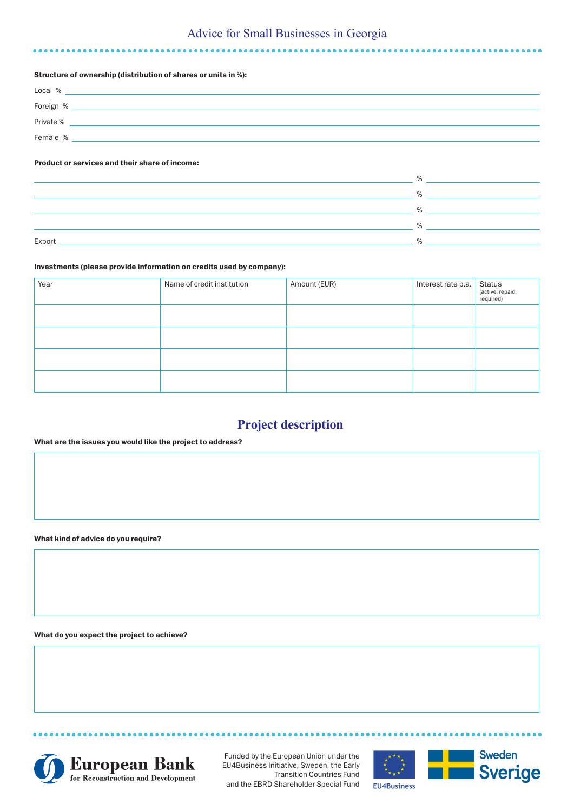## Advice for Small Businesses in Georgia

#### Structure of ownership (distribution of shares or units in %):

| Local %   |  |
|-----------|--|
| Foreign % |  |
| Private % |  |
| Female %  |  |

#### Product or services and their share of income:

|        | $\sqrt{2}$        |
|--------|-------------------|
|        | 0/2               |
|        | 0/2               |
|        | $O_{\mathcal{L}}$ |
|        | 0/2               |
| Export |                   |

#### Investments (please provide information on credits used by company):

| Year | Name of credit institution | Amount (EUR) | Interest rate p.a. | Status<br>(active, repaid,<br>required) |
|------|----------------------------|--------------|--------------------|-----------------------------------------|
|      |                            |              |                    |                                         |
|      |                            |              |                    |                                         |
|      |                            |              |                    |                                         |
|      |                            |              |                    |                                         |

### **Project description**

#### What are the issues you would like the project to address?

What kind of advice do you require?

What do you expect the project to achieve?



...............

Funded by the European Union under the EU4Business Initiative, Sweden, the Early Transition Countries Fund and the EBRD Shareholder Special Fund